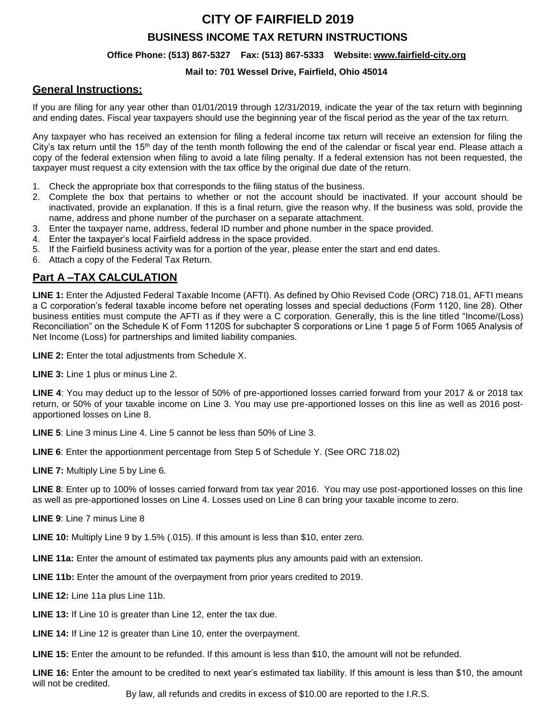# **CITY OF FAIRFIELD 2019**

### **BUSINESS INCOME TAX RETURN INSTRUCTIONS**

#### **Office Phone: (513) 867-5327 Fax: (513) 867-5333 Website: [www.fairfield-city.org](http://www.fairfield-city.org/)**

#### **Mail to: 701 Wessel Drive, Fairfield, Ohio 45014**

### **General Instructions:**

If you are filing for any year other than 01/01/2019 through 12/31/2019, indicate the year of the tax return with beginning and ending dates. Fiscal year taxpayers should use the beginning year of the fiscal period as the year of the tax return.

Any taxpayer who has received an extension for filing a federal income tax return will receive an extension for filing the City's tax return until the 15<sup>th</sup> day of the tenth month following the end of the calendar or fiscal year end. Please attach a copy of the federal extension when filing to avoid a late filing penalty. If a federal extension has not been requested, the taxpayer must request a city extension with the tax office by the original due date of the return.

- 1. Check the appropriate box that corresponds to the filing status of the business.
- 2. Complete the box that pertains to whether or not the account should be inactivated. If your account should be inactivated, provide an explanation. If this is a final return, give the reason why. If the business was sold, provide the name, address and phone number of the purchaser on a separate attachment.
- 3. Enter the taxpayer name, address, federal ID number and phone number in the space provided.
- 4. Enter the taxpayer's local Fairfield address in the space provided.
- 5. If the Fairfield business activity was for a portion of the year, please enter the start and end dates.
- 6. Attach a copy of the Federal Tax Return.

## **Part A –TAX CALCULATION**

**LINE 1:** Enter the Adjusted Federal Taxable Income (AFTI). As defined by Ohio Revised Code (ORC) 718.01, AFTI means a C corporation's federal taxable income before net operating losses and special deductions (Form 1120, line 28). Other business entities must compute the AFTI as if they were a C corporation. Generally, this is the line titled "Income/(Loss) Reconciliation" on the Schedule K of Form 1120S for subchapter S corporations or Line 1 page 5 of Form 1065 Analysis of Net Income (Loss) for partnerships and limited liability companies.

**LINE 2:** Enter the total adjustments from Schedule X.

**LINE 3:** Line 1 plus or minus Line 2.

**LINE 4**: You may deduct up to the lessor of 50% of pre-apportioned losses carried forward from your 2017 & or 2018 tax return, or 50% of your taxable income on Line 3. You may use pre-apportioned losses on this line as well as 2016 postapportioned losses on Line 8.

**LINE 5**: Line 3 minus Line 4. Line 5 cannot be less than 50% of Line 3.

**LINE 6**: Enter the apportionment percentage from Step 5 of Schedule Y. (See ORC 718.02)

**LINE 7:** Multiply Line 5 by Line 6.

**LINE 8**: Enter up to 100% of losses carried forward from tax year 2016. You may use post-apportioned losses on this line as well as pre-apportioned losses on Line 4. Losses used on Line 8 can bring your taxable income to zero.

**LINE 9**: Line 7 minus Line 8

**LINE 10:** Multiply Line 9 by 1.5% (.015). If this amount is less than \$10, enter zero.

**LINE 11a:** Enter the amount of estimated tax payments plus any amounts paid with an extension.

**LINE 11b:** Enter the amount of the overpayment from prior years credited to 2019.

**LINE 12:** Line 11a plus Line 11b.

**LINE 13:** If Line 10 is greater than Line 12, enter the tax due.

**LINE 14:** If Line 12 is greater than Line 10, enter the overpayment.

**LINE 15:** Enter the amount to be refunded. If this amount is less than \$10, the amount will not be refunded.

**LINE 16:** Enter the amount to be credited to next year's estimated tax liability. If this amount is less than \$10, the amount will not be credited.

By law, all refunds and credits in excess of \$10.00 are reported to the I.R.S.